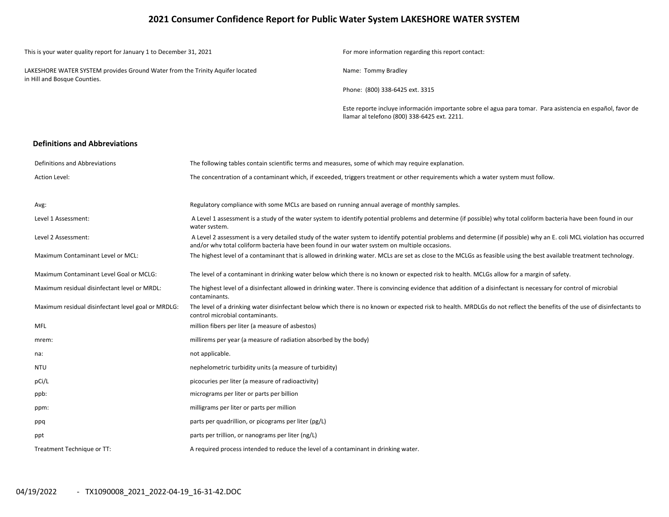## **2021 Consumer Confidence Report for Public Water System LAKESHORE WATER SYSTEM**

| This is your water quality report for January 1 to December 31, 2021                                          | For more information regarding this report contact:                                                                                                        |
|---------------------------------------------------------------------------------------------------------------|------------------------------------------------------------------------------------------------------------------------------------------------------------|
| LAKESHORE WATER SYSTEM provides Ground Water from the Trinity Aquifer located<br>in Hill and Bosque Counties. | Name: Tommy Bradley                                                                                                                                        |
|                                                                                                               | Phone: (800) 338-6425 ext. 3315                                                                                                                            |
|                                                                                                               | Este reporte incluye información importante sobre el agua para tomar. Para asistencia en español, favor de<br>Ilamar al telefono (800) 338-6425 ext. 2211. |

#### **Definitions and Abbreviations**

| Definitions and Abbreviations                      | The following tables contain scientific terms and measures, some of which may require explanation.                                                                                                                                                                      |
|----------------------------------------------------|-------------------------------------------------------------------------------------------------------------------------------------------------------------------------------------------------------------------------------------------------------------------------|
| <b>Action Level:</b>                               | The concentration of a contaminant which, if exceeded, triggers treatment or other requirements which a water system must follow.                                                                                                                                       |
|                                                    |                                                                                                                                                                                                                                                                         |
| Avg:                                               | Regulatory compliance with some MCLs are based on running annual average of monthly samples.                                                                                                                                                                            |
| Level 1 Assessment:                                | A Level 1 assessment is a study of the water system to identify potential problems and determine (if possible) why total coliform bacteria have been found in our<br>water system.                                                                                      |
| Level 2 Assessment:                                | A Level 2 assessment is a very detailed study of the water system to identify potential problems and determine (if possible) why an E. coli MCL violation has occurred<br>and/or why total coliform bacteria have been found in our water system on multiple occasions. |
| <b>Maximum Contaminant Level or MCL:</b>           | The highest level of a contaminant that is allowed in drinking water. MCLs are set as close to the MCLGs as feasible using the best available treatment technology.                                                                                                     |
| Maximum Contaminant Level Goal or MCLG:            | The level of a contaminant in drinking water below which there is no known or expected risk to health. MCLGs allow for a margin of safety.                                                                                                                              |
| Maximum residual disinfectant level or MRDL:       | The highest level of a disinfectant allowed in drinking water. There is convincing evidence that addition of a disinfectant is necessary for control of microbial<br>contaminants.                                                                                      |
| Maximum residual disinfectant level goal or MRDLG: | The level of a drinking water disinfectant below which there is no known or expected risk to health. MRDLGs do not reflect the benefits of the use of disinfectants to<br>control microbial contaminants.                                                               |
| <b>MFL</b>                                         | million fibers per liter (a measure of asbestos)                                                                                                                                                                                                                        |
| mrem:                                              | millirems per year (a measure of radiation absorbed by the body)                                                                                                                                                                                                        |
| na:                                                | not applicable.                                                                                                                                                                                                                                                         |
| <b>NTU</b>                                         | nephelometric turbidity units (a measure of turbidity)                                                                                                                                                                                                                  |
| pCi/L                                              | picocuries per liter (a measure of radioactivity)                                                                                                                                                                                                                       |
| ppb:                                               | micrograms per liter or parts per billion                                                                                                                                                                                                                               |
| ppm:                                               | milligrams per liter or parts per million                                                                                                                                                                                                                               |
| ppq                                                | parts per quadrillion, or picograms per liter (pg/L)                                                                                                                                                                                                                    |
| ppt                                                | parts per trillion, or nanograms per liter (ng/L)                                                                                                                                                                                                                       |
| Treatment Technique or TT:                         | A required process intended to reduce the level of a contaminant in drinking water.                                                                                                                                                                                     |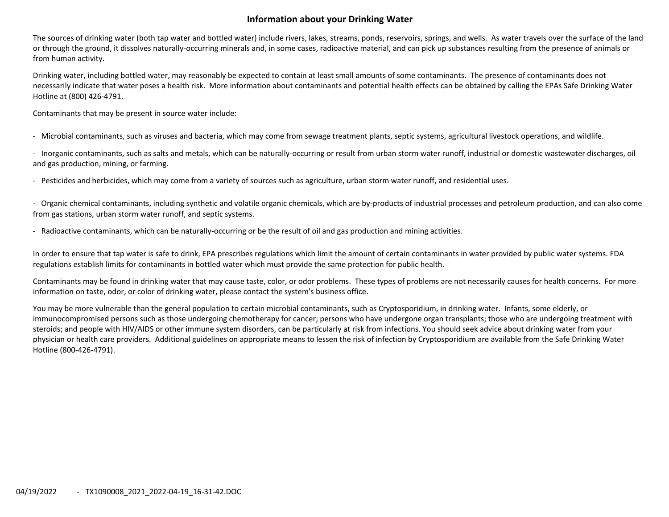# **Information about your Drinking Water**

The sources of drinking water (both tap water and bottled water) include rivers, lakes, streams, ponds, reservoirs, springs, and wells. As water travels over the surface of the land or through the ground, it dissolves naturally‐occurring minerals and, in some cases, radioactive material, and can pick up substances resulting from the presence of animals or from human activity.

Drinking water, including bottled water, may reasonably be expected to contain at least small amounts of some contaminants. The presence of contaminants does not necessarily indicate that water poses <sup>a</sup> health risk. More information about contaminants and potential health effects can be obtained by calling the EPAs Safe Drinking Water Hotline at (800) 426‐4791.

Contaminants that may be present in source water include:

‐ Microbial contaminants, such as viruses and bacteria, which may come from sewage treatment plants, septic systems, agricultural livestock operations, and wildlife.

‐ Inorganic contaminants, such as salts and metals, which can be naturally‐occurring or result from urban storm water runoff, industrial or domestic wastewater discharges, oil and gas production, mining, or farming.

‐ Pesticides and herbicides, which may come from <sup>a</sup> variety of sources such as agriculture, urban storm water runoff, and residential uses.

‐ Organic chemical contaminants, including synthetic and volatile organic chemicals, which are by‐products of industrial processes and petroleum production, and can also come from gas stations, urban storm water runoff, and septic systems.

‐ Radioactive contaminants, which can be naturally‐occurring or be the result of oil and gas production and mining activities.

In order to ensure that tap water is safe to drink, EPA prescribes regulations which limit the amount of certain contaminants in water provided by public water systems. FDA regulations establish limits for contaminants in bottled water which must provide the same protection for public health.

Contaminants may be found in drinking water that may cause taste, color, or odor problems. These types of problems are not necessarily causes for health concerns. For more information on taste, odor, or color of drinking water, please contact the system's business office.

You may be more vulnerable than the general population to certain microbial contaminants, such as Cryptosporidium, in drinking water. Infants, some elderly, or immunocompromised persons such as those undergoing chemotherapy for cancer; persons who have undergone organ transplants; those who are undergoing treatment with steroids; and people with HIV/AIDS or other immune system disorders, can be particularly at risk from infections. You should seek advice about drinking water from your physician or health care providers. Additional guidelines on appropriate means to lessen the risk of infection by Cryptosporidium are available from the Safe Drinking Water Hotline (800‐426‐4791).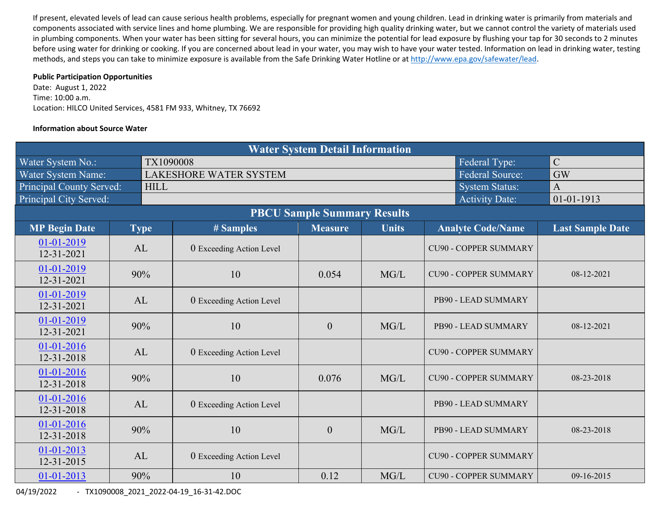If present, elevated levels of lead can cause serious health problems, especially for pregnant women and young children. Lead in drinking water is primarily from materials and components associated with service lines and home plumbing. We are responsible for providing high quality drinking water, but we cannot control the variety of materials used in plumbing components. When your water has been sitting for several hours, you can minimize the potential for lead exposure by flushing your tap for 30 seconds to 2 minutes before using water for drinking or cooking. If you are concerned about lead in your water, you may wish to have your water tested. Information on lead in drinking water, testing methods, and steps you can take to minimize exposure is available from the Safe Drinking Water Hotline or at http://www.epa.gov/safewater/lead.

## **Public Participation Opportunities**

Date: August 1, 2022 Time: 10:00 a.m. Location: HILCO United Services, 4581 FM 933, Whitney, TX 76692

## **Information about Source Water**

| <b>Water System Detail Information</b> |  |             |                                                                       |                  |              |                              |                         |  |  |  |  |  |
|----------------------------------------|--|-------------|-----------------------------------------------------------------------|------------------|--------------|------------------------------|-------------------------|--|--|--|--|--|
| Water System No.:                      |  |             | $\mathcal{C}$<br>TX1090008<br>Federal Type:<br><b>Federal Source:</b> |                  |              |                              |                         |  |  |  |  |  |
| Water System Name:                     |  |             | <b>LAKESHORE WATER SYSTEM</b>                                         | <b>GW</b>        |              |                              |                         |  |  |  |  |  |
| <b>Principal County Served:</b>        |  | <b>HILL</b> |                                                                       |                  |              | <b>System Status:</b>        | $\overline{A}$          |  |  |  |  |  |
| Principal City Served:                 |  |             |                                                                       |                  |              | <b>Activity Date:</b>        | $01 - 01 - 1913$        |  |  |  |  |  |
| <b>PBCU Sample Summary Results</b>     |  |             |                                                                       |                  |              |                              |                         |  |  |  |  |  |
| <b>MP Begin Date</b>                   |  | <b>Type</b> | # Samples                                                             | <b>Measure</b>   | <b>Units</b> | <b>Analyte Code/Name</b>     | <b>Last Sample Date</b> |  |  |  |  |  |
| 01-01-2019<br>12-31-2021               |  | AL          | 0 Exceeding Action Level                                              |                  |              | <b>CU90 - COPPER SUMMARY</b> |                         |  |  |  |  |  |
| 01-01-2019<br>12-31-2021               |  | 90%         | 10                                                                    | 0.054            | MG/L         | <b>CU90 - COPPER SUMMARY</b> | 08-12-2021              |  |  |  |  |  |
| 01-01-2019<br>12-31-2021               |  | AL          | 0 Exceeding Action Level                                              |                  |              | PB90 - LEAD SUMMARY          |                         |  |  |  |  |  |
| 01-01-2019<br>12-31-2021               |  | 90%         | 10                                                                    | $\theta$         | MG/L         | PB90 - LEAD SUMMARY          | 08-12-2021              |  |  |  |  |  |
| $01-01-2016$<br>12-31-2018             |  | AL          | 0 Exceeding Action Level                                              |                  |              | <b>CU90 - COPPER SUMMARY</b> |                         |  |  |  |  |  |
| 01-01-2016<br>12-31-2018               |  | 90%         | 10                                                                    | 0.076            | MG/L         | <b>CU90 - COPPER SUMMARY</b> | 08-23-2018              |  |  |  |  |  |
| 01-01-2016<br>12-31-2018               |  | AL          | 0 Exceeding Action Level                                              |                  |              | PB90 - LEAD SUMMARY          |                         |  |  |  |  |  |
| 01-01-2016<br>12-31-2018               |  | 90%         | 10                                                                    | $\boldsymbol{0}$ | MG/L         | PB90 - LEAD SUMMARY          | 08-23-2018              |  |  |  |  |  |
| $01-01-2013$<br>12-31-2015             |  | AL          | 0 Exceeding Action Level                                              |                  |              | <b>CU90 - COPPER SUMMARY</b> |                         |  |  |  |  |  |
| 01-01-2013                             |  | 90%         | 10                                                                    | 0.12             | MG/L         | <b>CU90 - COPPER SUMMARY</b> | 09-16-2015              |  |  |  |  |  |

04/19/2022 ‐ TX1090008\_2021\_2022‐04‐19\_16‐31‐42.DOC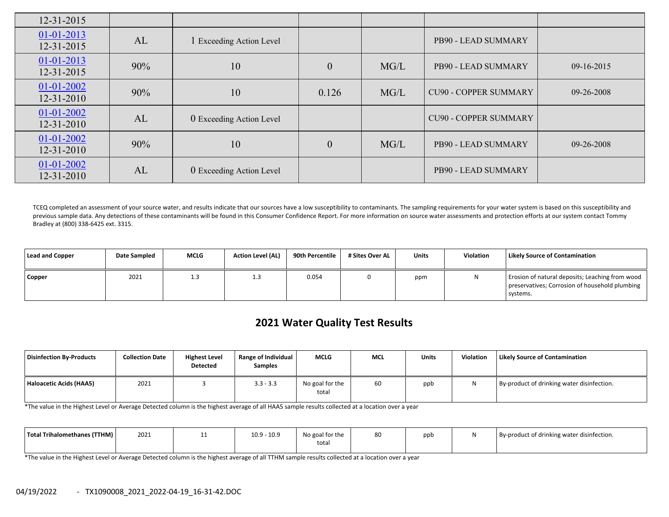| $12 - 31 - 2015$                     |     |                          |                  |      |                              |            |
|--------------------------------------|-----|--------------------------|------------------|------|------------------------------|------------|
| $01 - 01 - 2013$<br>12-31-2015       | AL  | 1 Exceeding Action Level |                  |      | PB90 - LEAD SUMMARY          |            |
| $01 - 01 - 2013$<br>12-31-2015       | 90% | 10                       | $\boldsymbol{0}$ | MG/L | PB90 - LEAD SUMMARY          | 09-16-2015 |
| 01-01-2002<br>$12 - 31 - 2010$       | 90% | 10                       | 0.126            | MG/L | <b>CU90 - COPPER SUMMARY</b> | 09-26-2008 |
| $01 - 01 - 2002$<br>$12 - 31 - 2010$ | AL  | 0 Exceeding Action Level |                  |      | <b>CU90 - COPPER SUMMARY</b> |            |
| $01 - 01 - 2002$<br>$12 - 31 - 2010$ | 90% | 10                       | $\mathbf{0}$     | MG/L | PB90 - LEAD SUMMARY          | 09-26-2008 |
| $01-01-2002$<br>12-31-2010           | AL  | 0 Exceeding Action Level |                  |      | PB90 - LEAD SUMMARY          |            |

TCEQ completed an assessment of your source water, and results indicate that our sources have a low susceptibility to contaminants. The sampling requirements for your water system is based on this susceptibility and previous sample data. Any detections of these contaminants will be found in this Consumer Confidence Report. For more information on source water assessments and protection efforts at our system contact Tommy Bradley at (800) 338‐6425 ext. 3315.

| <b>Lead and Copper</b> | <b>Date Sampled</b> | <b>MCLG</b> | <b>Action Level (AL)</b> | 90th Percentile | # Sites Over AL | <b>Units</b> | Violation | <b>Likely Source of Contamination</b>                                                                         |
|------------------------|---------------------|-------------|--------------------------|-----------------|-----------------|--------------|-----------|---------------------------------------------------------------------------------------------------------------|
| Copper                 | 2021                | 1.3         | ر. 1                     | 0.054           |                 | ppm          |           | Erosion of natural deposits; Leaching from wood<br>preservatives; Corrosion of household plumbing<br>systems. |

# **2021 Water Quality Test Results**

| Disinfection By-Products | <b>Collection Date</b> | <b>Highest Level</b><br>Detected | <b>Range of Individual</b><br><b>Samples</b> | <b>MCLG</b>              | <b>MCL</b> | <b>Units</b> | Violation | <b>Likely Source of Contamination</b>      |
|--------------------------|------------------------|----------------------------------|----------------------------------------------|--------------------------|------------|--------------|-----------|--------------------------------------------|
| Haloacetic Acids (HAA5)  | 2021                   |                                  | $3.3 - 3.3$                                  | No goal for the<br>total | 60         | ppb          | N         | By-product of drinking water disinfection. |

\*The value in the Highest Level or Average Detected column is the highest average of all HAA5 sample results collected at <sup>a</sup> location over <sup>a</sup> year

| Total Trihalomethanes (TTHM) | 2021 | $-10.9$<br>10.9 | No goal for the | 80 | ppt | By-product of drinking water disinfection. |
|------------------------------|------|-----------------|-----------------|----|-----|--------------------------------------------|
|                              |      |                 | total           |    |     |                                            |

\*The value in the Highest Level or Average Detected column is the highest average of all TTHM sample results collected at <sup>a</sup> location over <sup>a</sup> year